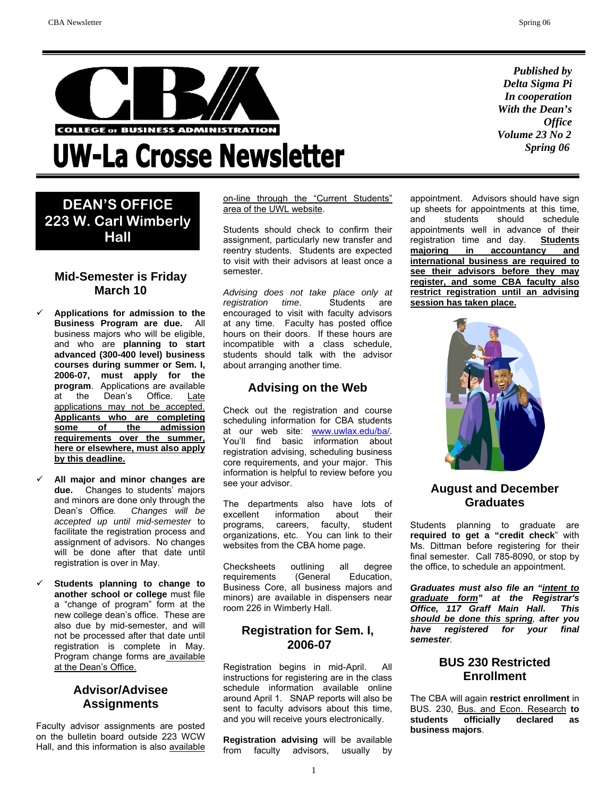

## **UW-La Crosse Newsletter**

## **DEAN'S OFFICE 223 W. Carl Wimberly Hall**

## **Mid-Semester is Friday March 10**

- 9 **Applications for admission to the Business Program are due.** All business majors who will be eligible, and who are **planning to start advanced (300-400 level) business courses during summer or Sem. I, 2006-07, must apply for the program**. Applications are available at the Dean's Office. Late applications may not be accepted. **Applicants who are completing some of the admission requirements over the summer, here or elsewhere, must also apply by this deadline.**
- 9 **All major and minor changes are due.** Changes to students' majors and minors are done only through the Dean's Office*. Changes will be accepted up until mid-semester* to facilitate the registration process and assignment of advisors. No changes will be done after that date until registration is over in May.
- 9 **Students planning to change to another school or college** must file a "change of program" form at the new college dean's office. These are also due by mid-semester, and will not be processed after that date until registration is complete in May. Program change forms are available at the Dean's Office.

## **Advisor/Advisee Assignments**

Faculty advisor assignments are posted on the bulletin board outside 223 WCW Hall, and this information is also available on-line through the "Current Students" area of the UWL website.

Students should check to confirm their assignment, particularly new transfer and reentry students. Students are expected to visit with their advisors at least once a semester.

*Advising does not take place only at registration time*. Students are encouraged to visit with faculty advisors at any time. Faculty has posted office hours on their doors. If these hours are incompatible with a class schedule, students should talk with the advisor about arranging another time.

## **Advising on the Web**

Check out the registration and course scheduling information for CBA students at our web site: www.uwlax.edu/ba/. You'll find basic information about registration advising, scheduling business core requirements, and your major. This information is helpful to review before you see your advisor.

The departments also have lots of excellent information about their programs, careers, faculty, student organizations, etc. You can link to their websites from the CBA home page.

Checksheets outlining all degree requirements (General Education, Business Core, all business majors and minors) are available in dispensers near room 226 in Wimberly Hall.

## **Registration for Sem. I, 2006-07**

Registration begins in mid-April. All instructions for registering are in the class schedule information available online around April 1. SNAP reports will also be sent to faculty advisors about this time, and you will receive yours electronically.

**Registration advising** will be available from faculty advisors, usually by

*Published by Delta Sigma Pi In cooperation With the Dean's Office Volume 23 No 2 Spring 06*

appointment. Advisors should have sign up sheets for appointments at this time, and students should schedule appointments well in advance of their<br>registration time and day. **Students** registration time and day. **majoring in accountancy and international business are required to see their advisors before they may register, and some CBA faculty also restrict registration until an advising session has taken place.**



## **August and December Graduates**

Students planning to graduate are **required to get a "credit check**" with Ms. Dittman before registering for their final semester. Call 785-8090, or stop by the office, to schedule an appointment.

*Graduates must also file an "intent to graduate form" at the Registrar's Office, 117 Graff Main Hall***.** *This should be done this spring, after you have registered for your final semester.* 

## **BUS 230 Restricted Enrollment**

The CBA will again **restrict enrollment** in BUS. 230, Bus. and Econ. Research **to students officially declared as business majors**.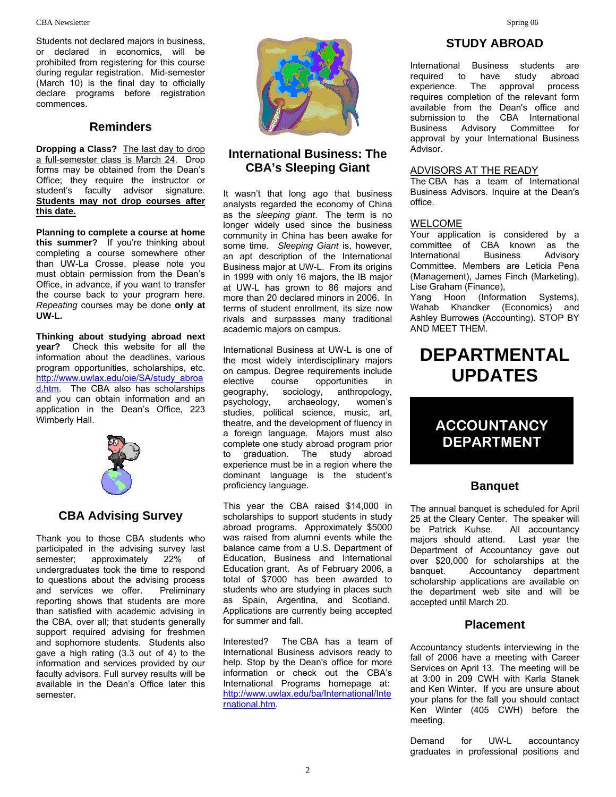Students not declared majors in business, or declared in economics, will be prohibited from registering for this course during regular registration. Mid-semester (March 10) is the final day to officially declare programs before registration commences.

#### **Reminders**

**Dropping a Class?** The last day to drop a full-semester class is March 24. Drop forms may be obtained from the Dean's Office; they require the instructor or student's faculty advisor signature. **Students may not drop courses after this date.**

**Planning to complete a course at home this summer?** If you're thinking about completing a course somewhere other than UW-La Crosse, please note you must obtain permission from the Dean's Office, in advance, if you want to transfer the course back to your program here. *Repeating* courses may be done **only at UW-L.** 

**Thinking about studying abroad next year?** Check this website for all the information about the deadlines, various program opportunities, scholarships, etc. http://www.uwlax.edu/oie/SA/study\_abroa d.htm. The CBA also has scholarships and you can obtain information and an application in the Dean's Office, 223 Wimberly Hall.



## **CBA Advising Survey**

Thank you to those CBA students who participated in the advising survey last<br>semester: approximately 22% of semester; approximately 22% of undergraduates took the time to respond to questions about the advising process and services we offer. Preliminary reporting shows that students are more than satisfied with academic advising in the CBA, over all; that students generally support required advising for freshmen and sophomore students. Students also gave a high rating (3.3 out of 4) to the information and services provided by our faculty advisors. Full survey results will be available in the Dean's Office later this semester.



## **International Business: The CBA's Sleeping Giant**

It wasn't that long ago that business analysts regarded the economy of China as the *sleeping giant*. The term is no longer widely used since the business community in China has been awake for some time. *Sleeping Giant* is, however, an apt description of the International Business major at UW-L. From its origins in 1999 with only 16 majors, the IB major at UW-L has grown to 86 majors and more than 20 declared minors in 2006. In terms of student enrollment, its size now rivals and surpasses many traditional academic majors on campus.

International Business at UW-L is one of the most widely interdisciplinary majors on campus. Degree requirements include elective course opportunities in geography, sociology, anthropology, psychology, archaeology, women's studies, political science, music, art, theatre, and the development of fluency in a foreign language. Majors must also complete one study abroad program prior to graduation. The study abroad experience must be in a region where the dominant language is the student's proficiency language.

This year the CBA raised \$14,000 in scholarships to support students in study abroad programs. Approximately \$5000 was raised from alumni events while the balance came from a U.S. Department of Education, Business and International Education grant. As of February 2006, a total of \$7000 has been awarded to students who are studying in places such as Spain, Argentina, and Scotland. Applications are currently being accepted for summer and fall.

Interested? The CBA has a team of International Business advisors ready to help. Stop by the Dean's office for more information or check out the CBA's International Programs homepage at: http://www.uwlax.edu/ba/International/Inte rnational.htm.

## **STUDY ABROAD**

International Business students are required to have study abroad<br>experience. The approval process experience. The approval requires completion of the relevant form available from the Dean's office and submission to the CBA International Business Advisory Committee for approval by your International Business Advisor.

#### ADVISORS AT THE READY

The CBA has a team of International Business Advisors. Inquire at the Dean's office.

#### WELCOME

۱

Your application is considered by a committee of CBA known as the<br>International Business Advisory International Business Advisory Committee. Members are Leticia Pena (Management), James Finch (Marketing), Lise Graham (Finance),

Yang Hoon (Information Systems), Wahab Khandker (Economics) and Ashley Burrowes (Accounting). STOP BY AND MEET THEM.

## **DEPARTMENTAL UPDATES**

## **ACCOUNTANCY DEPARTMENT**

### **Banquet**

The annual banquet is scheduled for April 25 at the Cleary Center. The speaker will be Patrick Kuhse. All accountancy majors should attend. Last year the Department of Accountancy gave out over \$20,000 for scholarships at the banquet. Accountancy department scholarship applications are available on the department web site and will be accepted until March 20.

### **Placement**

Accountancy students interviewing in the fall of 2006 have a meeting with Career Services on April 13. The meeting will be at 3:00 in 209 CWH with Karla Stanek and Ken Winter. If you are unsure about your plans for the fall you should contact Ken Winter (405 CWH) before the meeting.

Demand for UW-L accountancy graduates in professional positions and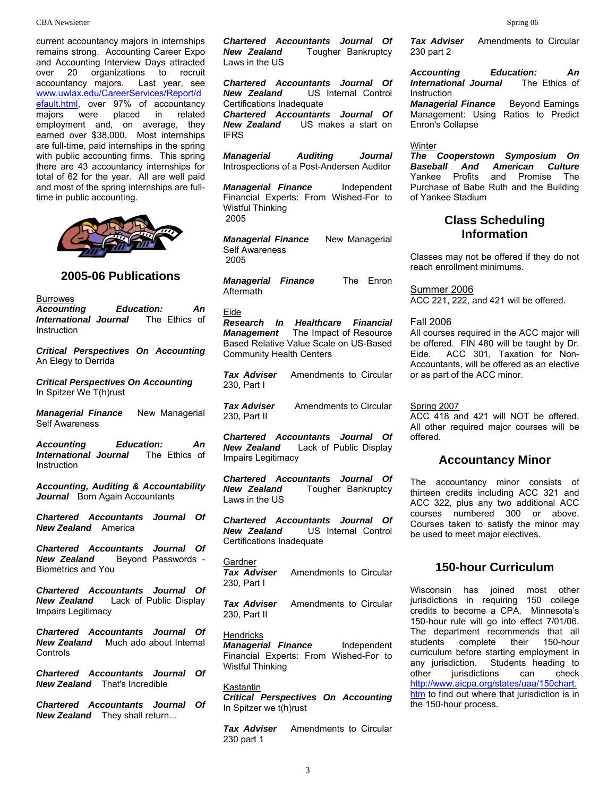#### CBA Newsletter Spring 06

current accountancy majors in internships remains strong. Accounting Career Expo and Accounting Interview Days attracted over 20 organizations to recruit accountancy majors. Last year, see www.uwlax.edu/CareerServices/Report/d efault.html, over 97% of accountancy<br>majors were placed in related majors were placed in related employment and, on average, they earned over \$38,000. Most internships are full-time, paid internships in the spring with public accounting firms. This spring there are 43 accountancy internships for total of 62 for the year. All are well paid and most of the spring internships are fulltime in public accounting.



#### **2005-06 Publications**

**Burrowes** 

*Accounting Education: An International Journal* The Ethics of Instruction

*Critical Perspectives On Accounting* An Elegy to Derrida

*Critical Perspectives On Accounting*  In Spitzer We T(h)rust

*Managerial Finance* New Managerial Self Awareness

*Accounting Education: An International Journal* The Ethics of **Instruction** 

*Accounting, Auditing & Accountability* Journal Born Again Accountants

*Chartered Accountants Journal Of New Zealand* America

*Chartered Accountants Journal Of*  **Bevond Passwords -**Biometrics and You

*Chartered Accountants Journal Of New Zealand* Lack of Public Display Impairs Legitimacy

*Chartered Accountants Journal Of New Zealand* Much ado about Internal Controls

*Chartered Accountants Journal Of New Zealand* That's Incredible

*Chartered Accountants Journal Of New Zealand* They shall return...

*Chartered Accountants Journal Of*  **Tougher Bankruptcy** Laws in the US

*Chartered Accountants Journal Of New Zealand* US Internal Control Certifications Inadequate

*Chartered Accountants Journal Of New Zealand* US makes a start on IFRS

*Managerial Auditing Journal* Introspections of a Post-Andersen Auditor

*Managerial Finance* Independent Financial Experts: From Wished-For to Wistful Thinking 2005

*Managerial Finance* New Managerial Self Awareness 2005

*Managerial Finance* The Enron Aftermath

Eide

*Research In Healthcare Financial Management* The Impact of Resource Based Relative Value Scale on US-Based Community Health Centers

**Tax Adviser** Amendments to Circular 230, Part I

**Tax Adviser** Amendments to Circular 230, Part II

*Chartered Accountants Journal Of*  Lack of Public Display Impairs Legitimacy

*Chartered Accountants Journal Of New Zealand* Tougher Bankruptcy Laws in the US

*Chartered Accountants Journal Of New Zealand* US Internal Control Certifications Inadequate

**Gardner** 

**Tax Adviser** Amendments to Circular 230, Part I

**Tax Adviser** Amendments to Circular 230, Part II

**Hendricks** *Managerial Finance* Independent Financial Experts: From Wished-For to Wistful Thinking

Kastantin *Critical Perspectives On Accounting* In Spitzer we t(h)rust

**Tax Adviser** Amendments to Circular 230 part 1

**Tax Adviser** Amendments to Circular 230 part 2

*Accounting Education: An International Journal* Instruction

*Managerial Finance* Beyond Earnings Management: Using Ratios to Predict Enron's Collapse

#### Winter

*The Cooperstown Symposium On Baseball And American Culture*  and Promise The Purchase of Babe Ruth and the Building of Yankee Stadium

#### **Class Scheduling Information**

Classes may not be offered if they do not reach enrollment minimums.

Summer 2006

ACC 221, 222, and 421 will be offered.

#### Fall 2006

All courses required in the ACC major will be offered. FIN 480 will be taught by Dr. Eide. ACC 301, Taxation for Non-Accountants, will be offered as an elective or as part of the ACC minor.

#### Spring 2007

ACC 418 and 421 will NOT be offered. All other required major courses will be offered.

#### **Accountancy Minor**

The accountancy minor consists of thirteen credits including ACC 321 and ACC 322, plus any two additional ACC courses numbered 300 or above. Courses taken to satisfy the minor may be used to meet major electives.

#### **150-hour Curriculum**

Wisconsin has joined most other jurisdictions in requiring 150 college credits to become a CPA. Minnesota's 150-hour rule will go into effect 7/01/06. The department recommends that all students complete their 150-hour curriculum before starting employment in any jurisdiction. Students heading to other jurisdictions can check http://www.aicpa.org/states/uaa/150chart. htm to find out where that jurisdiction is in the 150-hour process.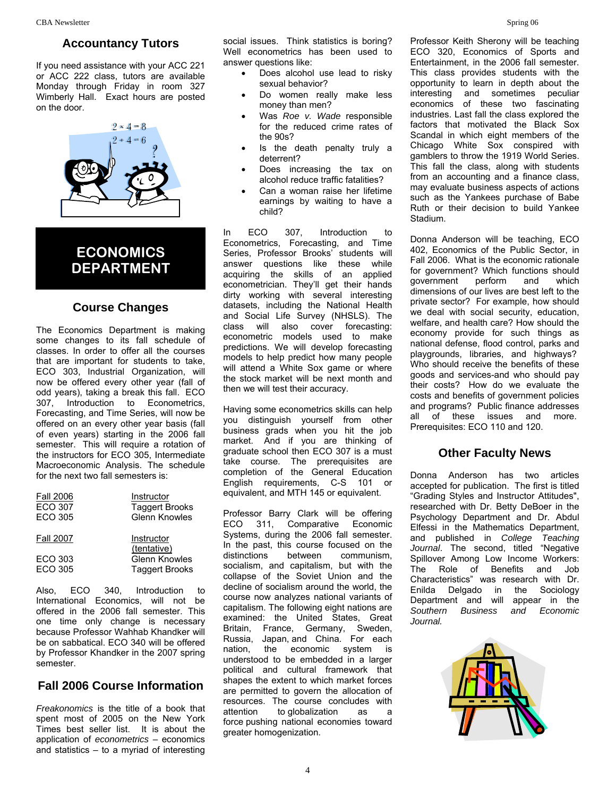#### **Accountancy Tutors**

If you need assistance with your ACC 221 or ACC 222 class, tutors are available Monday through Friday in room 327 Wimberly Hall. Exact hours are posted on the door.



## **ECONOMICS DEPARTMENT**

#### **Course Changes**

The Economics Department is making some changes to its fall schedule of classes. In order to offer all the courses that are important for students to take, ECO 303, Industrial Organization, will now be offered every other year (fall of odd years), taking a break this fall. ECO 307, Introduction to Econometrics, Forecasting, and Time Series, will now be offered on an every other year basis (fall of even years) starting in the 2006 fall semester. This will require a rotation of the instructors for ECO 305, Intermediate Macroeconomic Analysis. The schedule for the next two fall semesters is:

| <b>Fall 2006</b> | Instructor                |
|------------------|---------------------------|
| <b>ECO 307</b>   | <b>Taggert Brooks</b>     |
| ECO 305          | Glenn Knowles             |
| <b>Fall 2007</b> | Instructor<br>(tentative) |
| ECO 303          | Glenn Knowles             |
| <b>FCO 305</b>   | <b>Taggert Brooks</b>     |

Also, ECO 340, Introduction to International Economics, will not be offered in the 2006 fall semester. This one time only change is necessary because Professor Wahhab Khandker will be on sabbatical. ECO 340 will be offered by Professor Khandker in the 2007 spring semester.

#### **Fall 2006 Course Information**

*Freakonomics* is the title of a book that spent most of 2005 on the New York Times best seller list. It is about the application of *econometrics* – economics and statistics – to a myriad of interesting social issues. Think statistics is boring? Well econometrics has been used to answer questions like:

- Does alcohol use lead to risky sexual behavior?
- Do women really make less money than men?
- Was *Roe v. Wade* responsible for the reduced crime rates of the  $90e$
- Is the death penalty truly a deterrent?
- Does increasing the tax on alcohol reduce traffic fatalities?
- Can a woman raise her lifetime earnings by waiting to have a child?

In ECO 307, Introduction to Econometrics, Forecasting, and Time Series, Professor Brooks' students will answer questions like these while acquiring the skills of an applied econometrician. They'll get their hands dirty working with several interesting datasets, including the National Health and Social Life Survey (NHSLS). The class will also cover forecasting: econometric models used to make predictions. We will develop forecasting models to help predict how many people will attend a White Sox game or where the stock market will be next month and then we will test their accuracy.

Having some econometrics skills can help you distinguish yourself from other business grads when you hit the job market. And if you are thinking of graduate school then ECO 307 is a must take course. The prerequisites are completion of the General Education English requirements, C-S 101 or equivalent, and MTH 145 or equivalent.

Professor Barry Clark will be offering ECO 311, Comparative Economic Systems, during the 2006 fall semester. In the past, this course focused on the distinctions between communism, socialism, and capitalism, but with the collapse of the Soviet Union and the decline of socialism around the world, the course now analyzes national variants of capitalism. The following eight nations are examined: the United States, Great Britain, France, Germany, Sweden, Russia, Japan, and China. For each nation, the economic system is understood to be embedded in a larger political and cultural framework that shapes the extent to which market forces are permitted to govern the allocation of resources. The course concludes with attention to globalization as a force pushing national economies toward greater homogenization.

Professor Keith Sherony will be teaching ECO 320, Economics of Sports and Entertainment, in the 2006 fall semester. This class provides students with the opportunity to learn in depth about the interesting and sometimes peculiar economics of these two fascinating industries. Last fall the class explored the factors that motivated the Black Sox Scandal in which eight members of the Chicago White Sox conspired with gamblers to throw the 1919 World Series. This fall the class, along with students from an accounting and a finance class, may evaluate business aspects of actions such as the Yankees purchase of Babe Ruth or their decision to build Yankee Stadium.

Donna Anderson will be teaching, ECO 402, Economics of the Public Sector, in Fall 2006. What is the economic rationale for government? Which functions should government perform and which dimensions of our lives are best left to the private sector? For example, how should we deal with social security, education, welfare, and health care? How should the economy provide for such things as national defense, flood control, parks and playgrounds, libraries, and highways? Who should receive the benefits of these goods and services-and who should pay their costs? How do we evaluate the costs and benefits of government policies and programs? Public finance addresses all of these issues and more. Prerequisites: ECO 110 and 120.

#### **Other Faculty News**

Donna Anderson has two articles accepted for publication. The first is titled "Grading Styles and Instructor Attitudes", researched with Dr. Betty DeBoer in the Psychology Department and Dr. Abdul Elfessi in the Mathematics Department, and published in *College Teaching Journal*. The second, titled "Negative Spillover Among Low Income Workers: The Role of Benefits and Job Characteristics" was research with Dr. Enilda Delgado in the Sociology Department and will appear in the *Southern Business and Economic Journal.*

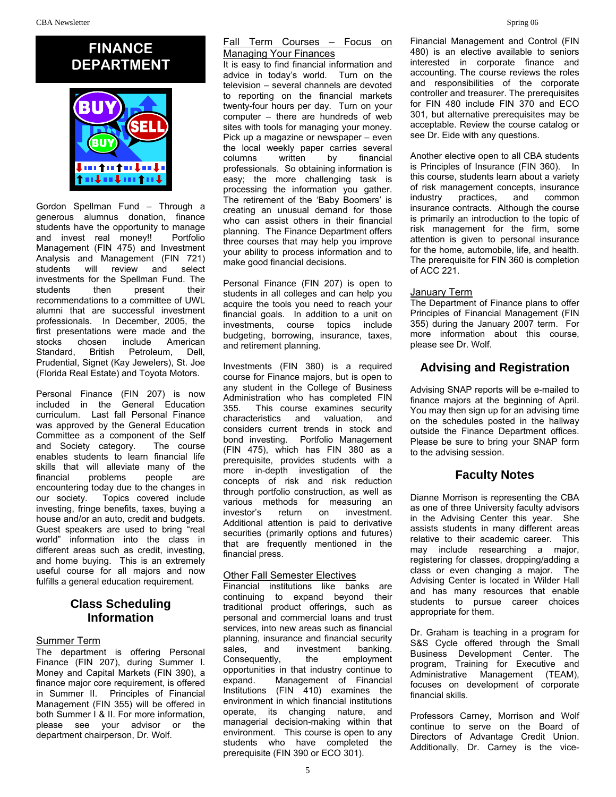## **FINANCE DEPARTMENT**



Gordon Spellman Fund – Through a generous alumnus donation, finance students have the opportunity to manage and invest real money!! Portfolio Management (FIN 475) and Investment Analysis and Management (FIN 721) students will review and select investments for the Spellman Fund. The students then present their recommendations to a committee of UWL alumni that are successful investment professionals. In December, 2005, the first presentations were made and the stocks chosen include American Standard, British Petroleum, Dell, Prudential, Signet (Kay Jewelers), St. Joe (Florida Real Estate) and Toyota Motors.

Personal Finance (FIN 207) is now included in the General Education curriculum. Last fall Personal Finance was approved by the General Education Committee as a component of the Self and Society category. The course enables students to learn financial life skills that will alleviate many of the financial problems people are encountering today due to the changes in our society. Topics covered include investing, fringe benefits, taxes, buying a house and/or an auto, credit and budgets. Guest speakers are used to bring "real world" information into the class in different areas such as credit, investing, and home buying. This is an extremely useful course for all majors and now fulfills a general education requirement.

## **Class Scheduling Information**

#### Summer Term

The department is offering Personal Finance (FIN 207), during Summer I. Money and Capital Markets (FIN 390), a finance major core requirement, is offered in Summer II. Principles of Financial Management (FIN 355) will be offered in both Summer I & II. For more information, please see your advisor or the department chairperson, Dr. Wolf.

#### Fall Term Courses - Focus on Managing Your Finances

It is easy to find financial information and advice in today's world. Turn on the television – several channels are devoted to reporting on the financial markets twenty-four hours per day. Turn on your computer – there are hundreds of web sites with tools for managing your money. Pick up a magazine or newspaper – even the local weekly paper carries several columns written by financial professionals. So obtaining information is easy; the more challenging task is processing the information you gather. The retirement of the 'Baby Boomers' is creating an unusual demand for those who can assist others in their financial planning. The Finance Department offers three courses that may help you improve your ability to process information and to make good financial decisions.

Personal Finance (FIN 207) is open to students in all colleges and can help you acquire the tools you need to reach your financial goals. In addition to a unit on investments, course topics include budgeting, borrowing, insurance, taxes, and retirement planning.

Investments (FIN 380) is a required course for Finance majors, but is open to any student in the College of Business Administration who has completed FIN 355. This course examines security characteristics and valuation, and considers current trends in stock and bond investing. Portfolio Management (FIN 475), which has FIN 380 as a prerequisite, provides students with a more in-depth investigation of the concepts of risk and risk reduction through portfolio construction, as well as various methods for measuring an investor's return on investment. Additional attention is paid to derivative securities (primarily options and futures) that are frequently mentioned in the financial press.

#### Other Fall Semester Electives

Financial institutions like banks are continuing to expand beyond their traditional product offerings, such as personal and commercial loans and trust services, into new areas such as financial planning, insurance and financial security<br>sales, and investment banking. sales, and investment Consequently, the employment opportunities in that industry continue to expand. Management of Financial Institutions (FIN 410) examines the environment in which financial institutions operate, its changing nature, and managerial decision-making within that environment. This course is open to any students who have completed the prerequisite (FIN 390 or ECO 301).

Financial Management and Control (FIN 480) is an elective available to seniors interested in corporate finance and accounting. The course reviews the roles and responsibilities of the corporate controller and treasurer. The prerequisites for FIN 480 include FIN 370 and ECO 301, but alternative prerequisites may be acceptable. Review the course catalog or see Dr. Eide with any questions.

Another elective open to all CBA students is Principles of Insurance (FIN 360). In this course, students learn about a variety of risk management concepts, insurance<br>industry practices. and common industry practices, and common insurance contracts. Although the course is primarily an introduction to the topic of risk management for the firm, some attention is given to personal insurance for the home, automobile, life, and health. The prerequisite for FIN 360 is completion of ACC 221.

#### January Term

The Department of Finance plans to offer Principles of Financial Management (FIN 355) during the January 2007 term. For more information about this course, please see Dr. Wolf.

## **Advising and Registration**

Advising SNAP reports will be e-mailed to finance majors at the beginning of April. You may then sign up for an advising time on the schedules posted in the hallway outside the Finance Department offices. Please be sure to bring your SNAP form to the advising session.

### **Faculty Notes**

Dianne Morrison is representing the CBA as one of three University faculty advisors in the Advising Center this year. She assists students in many different areas relative to their academic career. This may include researching a major, registering for classes, dropping/adding a class or even changing a major. The Advising Center is located in Wilder Hall and has many resources that enable students to pursue career choices appropriate for them.

Dr. Graham is teaching in a program for S&S Cycle offered through the Small Business Development Center. The program, Training for Executive and Administrative Management (TEAM), focuses on development of corporate financial skills.

Professors Carney, Morrison and Wolf continue to serve on the Board of Directors of Advantage Credit Union. Additionally, Dr. Carney is the vice-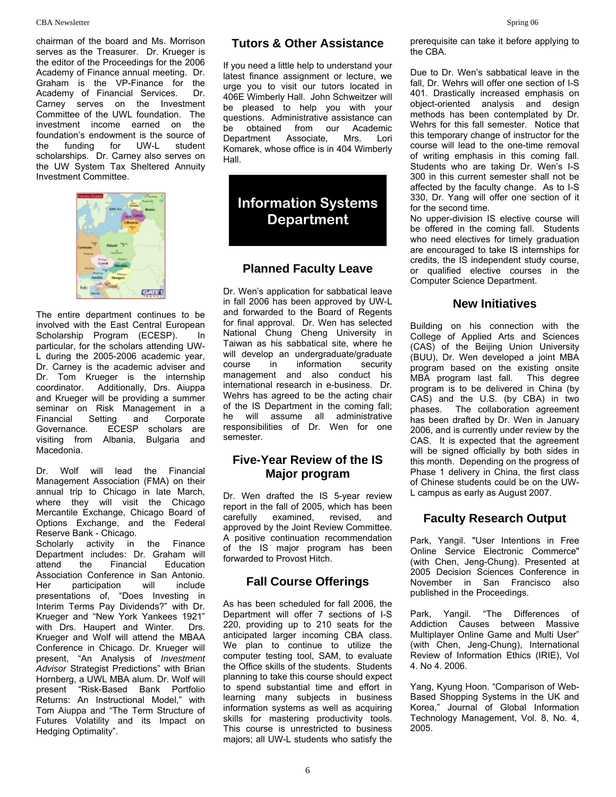chairman of the board and Ms. Morrison serves as the Treasurer. Dr. Krueger is the editor of the Proceedings for the 2006 Academy of Finance annual meeting. Dr. Graham is the VP-Finance for the Academy of Financial Services. Dr. Carney serves on the Investment Committee of the UWL foundation. The investment income earned on the foundation's endowment is the source of the funding for UW-L student scholarships. Dr. Carney also serves on the UW System Tax Sheltered Annuity Investment Committee.



The entire department continues to be involved with the East Central European Scholarship Program (ECESP). In particular, for the scholars attending UW-L during the 2005-2006 academic year, Dr. Carney is the academic adviser and Dr. Tom Krueger is the internship coordinator. Additionally, Drs. Aiuppa and Krueger will be providing a summer seminar on Risk Management in a<br>Financial Setting and Corporate Financial Setting and Corporate Governance. ECESP scholars are visiting from Albania, Bulgaria and Macedonia.

Dr. Wolf will lead the Financial Management Association (FMA) on their annual trip to Chicago in late March, where they will visit the Chicago Mercantile Exchange, Chicago Board of Options Exchange, and the Federal Reserve Bank - Chicago.

Scholarly activity in the Finance Department includes: Dr. Graham will<br>attend the Financial Education the Financial Association Conference in San Antonio. Her participation will include presentations of, "Does Investing in Interim Terms Pay Dividends?" with Dr. Krueger and "New York Yankees 1921" with Drs. Haupert and Winter. Drs. Krueger and Wolf will attend the MBAA Conference in Chicago. Dr. Krueger will present, "An Analysis of *Investment Advisor* Strategist Predictions" with Brian Hornberg, a UWL MBA alum. Dr. Wolf will present "Risk-Based Bank Portfolio Returns: An Instructional Model," with Tom Aiuppa and "The Term Structure of Futures Volatility and its Impact on Hedging Optimality".

If you need a little help to understand your latest finance assignment or lecture, we urge you to visit our tutors located in 406E Wimberly Hall. John Schweitzer will be pleased to help you with your questions. Administrative assistance can be obtained from our Academic Department Associate, Mrs. Lori Komarek, whose office is in 404 Wimberly Hall.

# **Information Systems 1998 Information Systems ISSNET SECOND THEORY AND INCREMENT CONSUMPLY ISSNET SHOW IN THE SECOND TEAM**

## **Planned Faculty Leave**

Dr. Wen's application for sabbatical leave in fall 2006 has been approved by UW-L and forwarded to the Board of Regents for final approval. Dr. Wen has selected National Chung Cheng University in Taiwan as his sabbatical site, where he will develop an undergraduate/graduate course in information security management and also conduct his international research in e-business. Dr. Wehrs has agreed to be the acting chair of the IS Department in the coming fall; he will assume all administrative responsibilities of Dr. Wen for one semester.

## **Five-Year Review of the IS Major program**

Dr. Wen drafted the IS 5-year review report in the fall of 2005, which has been carefully examined, revised, and approved by the Joint Review Committee. A positive continuation recommendation of the IS major program has been forwarded to Provost Hitch.

## **Fall Course Offerings**

As has been scheduled for fall 2006, the Department will offer 7 sections of I-S 220, providing up to 210 seats for the anticipated larger incoming CBA class. We plan to continue to utilize the computer testing tool, SAM, to evaluate the Office skills of the students. Students planning to take this course should expect to spend substantial time and effort in learning many subjects in business information systems as well as acquiring skills for mastering productivity tools. This course is unrestricted to business majors; all UW-L students who satisfy the prerequisite can take it before applying to the CBA.

Due to Dr. Wen's sabbatical leave in the fall, Dr. Wehrs will offer one section of I-S 401. Drastically increased emphasis on object-oriented analysis and design methods has been contemplated by Dr. Wehrs for this fall semester. Notice that this temporary change of instructor for the course will lead to the one-time removal of writing emphasis in this coming fall. Students who are taking Dr. Wen's I-S 300 in this current semester shall not be affected by the faculty change. As to I-S 330, Dr. Yang will offer one section of it

No upper-division IS elective course will be offered in the coming fall. Students who need electives for timely graduation are encouraged to take IS internships for credits, the IS independent study course, or qualified elective courses in the Computer Science Department.

## **New Initiatives**

Building on his connection with the College of Applied Arts and Sciences (CAS) of the Beijing Union University (BUU), Dr. Wen developed a joint MBA program based on the existing onsite MBA program last fall. This degree program is to be delivered in China (by CAS) and the U.S. (by CBA) in two phases. The collaboration agreement has been drafted by Dr. Wen in January 2006, and is currently under review by the CAS. It is expected that the agreement will be signed officially by both sides in this month. Depending on the progress of Phase 1 delivery in China, the first class of Chinese students could be on the UW-L campus as early as August 2007.

## **Faculty Research Output**

Park, Yangil. "User Intentions in Free Online Service Electronic Commerce" (with Chen, Jeng-Chung). Presented at 2005 Decision Sciences Conference in November in San Francisco also published in the Proceedings.

Park, Yangil. "The Differences of Addiction Causes between Massive Multiplayer Online Game and Multi User" (with Chen, Jeng-Chung), International Review of Information Ethics (IRIE), Vol 4. No 4. 2006.

Yang, Kyung Hoon. "Comparison of Web-Based Shopping Systems in the UK and Korea," Journal of Global Information Technology Management, Vol. 8, No. 4, 2005.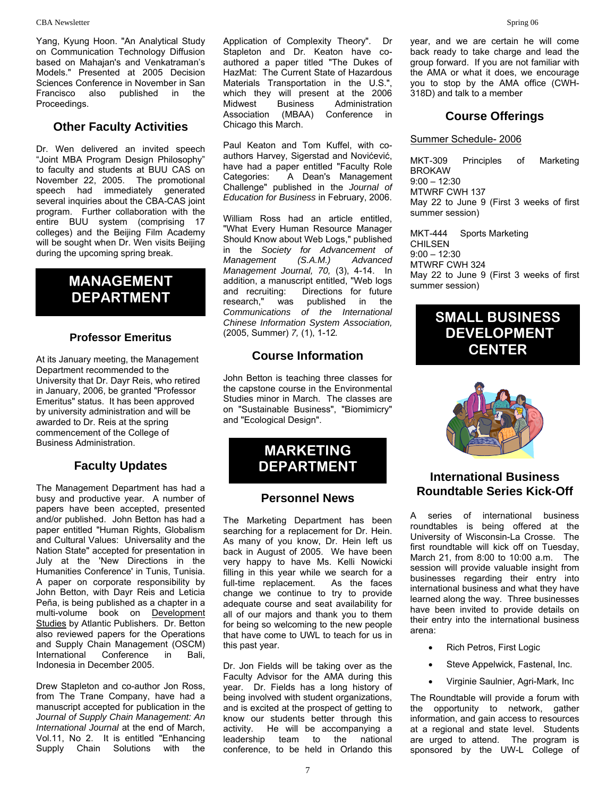Yang, Kyung Hoon. "An Analytical Study on Communication Technology Diffusion based on Mahajan's and Venkatraman's Models." Presented at 2005 Decision Sciences Conference in November in San Francisco also published in the Proceedings.

## **Other Faculty Activities**

Dr. Wen delivered an invited speech "Joint MBA Program Design Philosophy" to faculty and students at BUU CAS on November 22, 2005. The promotional speech had immediately generated several inquiries about the CBA-CAS joint program. Further collaboration with the entire BUU system (comprising 17 colleges) and the Beijing Film Academy will be sought when Dr. Wen visits Beijing during the upcoming spring break.

## **DEPARTMENT**

#### **Professor Emeritus**

At its January meeting, the Management Department recommended to the University that Dr. Dayr Reis, who retired in January, 2006, be granted "Professor Emeritus" status. It has been approved by university administration and will be awarded to Dr. Reis at the spring commencement of the College of Business Administration.

## **Faculty Updates**

The Management Department has had a busy and productive year. A number of papers have been accepted, presented and/or published. John Betton has had a paper entitled "Human Rights, Globalism and Cultural Values: Universality and the Nation State" accepted for presentation in July at the 'New Directions in the Humanities Conference' in Tunis, Tunisia. A paper on corporate responsibility by John Betton, with Dayr Reis and Leticia Peña, is being published as a chapter in a multi-volume book on Development Studies by Atlantic Publishers. Dr. Betton also reviewed papers for the Operations and Supply Chain Management (OSCM)<br>International Conference in Bali, International Conference in Bali, Indonesia in December 2005.

Drew Stapleton and co-author Jon Ross, from The Trane Company, have had a manuscript accepted for publication in the *Journal of Supply Chain Management: An International Journal* at the end of March, Vol.11, No 2. It is entitled "Enhancing Supply Chain Solutions with the

Application of Complexity Theory". Dr Stapleton and Dr. Keaton have coauthored a paper titled "The Dukes of HazMat: The Current State of Hazardous Materials Transportation in the U.S.", which they will present at the 2006 Midwest Business Administration Association (MBAA) Conference in Chicago this March.

Paul Keaton and Tom Kuffel, with coauthors Harvey, Sigerstad and Novićević, have had a paper entitled "Faculty Role Categories: A Dean's Management Challenge" published in the *Journal of Education for Business* in February, 2006.

William Ross had an article entitled, "What Every Human Resource Manager Should Know about Web Logs," published in the *Society for Advancement of Management (S.A.M.) Advanced Management Journal, 70,* (3), 4-14. In **MANAGEMENT** addition, a manuscript entitled, "Web logs wave 22 to June 9 (First 3 weeks of first addition, a manuscript entitled, "Web logs summer session) and recruiting: Directions for future research," was published in the *Communications of the International Chinese Information System Association,*  (2005, Summer) *7,* (1), 1-12*.*

## **Course Information**

John Betton is teaching three classes for the capstone course in the Environmental Studies minor in March. The classes are on "Sustainable Business", "Biomimicry" and "Ecological Design".

## **MARKETING DEPARTMENT**

#### **Personnel News**

The Marketing Department has been searching for a replacement for Dr. Hein. As many of you know, Dr. Hein left us back in August of 2005. We have been very happy to have Ms. Kelli Nowicki filling in this year while we search for a full-time replacement. As the faces change we continue to try to provide adequate course and seat availability for all of our majors and thank you to them for being so welcoming to the new people that have come to UWL to teach for us in this past year.

Dr. Jon Fields will be taking over as the Faculty Advisor for the AMA during this year. Dr. Fields has a long history of being involved with student organizations, and is excited at the prospect of getting to know our students better through this activity. He will be accompanying a leadership team to the national conference, to be held in Orlando this

year, and we are certain he will come back ready to take charge and lead the group forward. If you are not familiar with the AMA or what it does, we encourage you to stop by the AMA office (CWH-318D) and talk to a member

## **Course Offerings**

#### Summer Schedule- 2006

MKT-309 Principles of Marketing BROKAW 9:00 – 12:30 MTWRF CWH 137 May 22 to June 9 (First 3 weeks of first summer session)

MKT-444 Sports Marketing CHILSEN 9:00 – 12:30 MTWRF CWH 324

## **SMALL BUSINESS DEVELOPMENT CENTER**



## **International Business Roundtable Series Kick-Off**

A series of international business roundtables is being offered at the University of Wisconsin-La Crosse. The first roundtable will kick off on Tuesday, March 21, from 8:00 to 10:00 a.m. The session will provide valuable insight from businesses regarding their entry into international business and what they have learned along the way. Three businesses have been invited to provide details on their entry into the international business arena:

- Rich Petros, First Logic
- Steve Appelwick, Fastenal, Inc.
- Virginie Saulnier, Agri-Mark, Inc

The Roundtable will provide a forum with the opportunity to network, gather information, and gain access to resources at a regional and state level. Students are urged to attend. The program is sponsored by the UW-L College of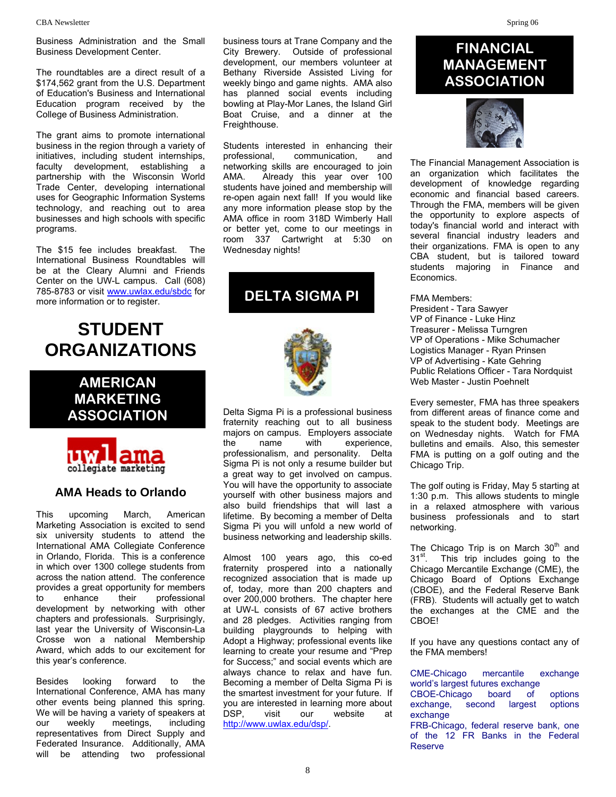Business Administration and the Small Business Development Center.

The roundtables are a direct result of a \$174,562 grant from the U.S. Department of Education's Business and International Education program received by the College of Business Administration.

The grant aims to promote international business in the region through a variety of initiatives, including student internships, faculty development, establishing a partnership with the Wisconsin World Trade Center, developing international uses for Geographic Information Systems technology, and reaching out to area businesses and high schools with specific programs.

The \$15 fee includes breakfast. The International Business Roundtables will be at the Cleary Alumni and Friends Center on the UW-L campus. Call (608) 785-8783 or visit www.uwlax.edu/sbdc for more information or to register.

## **STUDENT ORGANIZATIONS**

**AMERICAN MARKETING ASSOCIATION** 



### **AMA Heads to Orlando**

This upcoming March, American Marketing Association is excited to send six university students to attend the International AMA Collegiate Conference in Orlando, Florida. This is a conference in which over 1300 college students from across the nation attend. The conference provides a great opportunity for members to enhance their professional development by networking with other chapters and professionals. Surprisingly, last year the University of Wisconsin-La Crosse won a national Membership Award, which adds to our excitement for this year's conference.

Besides looking forward to the International Conference, AMA has many other events being planned this spring. We will be having a variety of speakers at our weekly meetings, including representatives from Direct Supply and Federated Insurance. Additionally, AMA will be attending two professional

business tours at Trane Company and the City Brewery. Outside of professional development, our members volunteer at Bethany Riverside Assisted Living for weekly bingo and game nights. AMA also has planned social events including bowling at Play-Mor Lanes, the Island Girl Boat Cruise, and a dinner at the Freighthouse.

Students interested in enhancing their professional, communication, and networking skills are encouraged to join AMA. Already this year over 100 students have joined and membership will re-open again next fall! If you would like any more information please stop by the AMA office in room 318D Wimberly Hall or better yet, come to our meetings in room 337 Cartwright at 5:30 on Wednesday nights!

**DELTA SIGMA PI** FMA Members:



Delta Sigma Pi is a professional business fraternity reaching out to all business majors on campus. Employers associate the name with experience, professionalism, and personality. Delta Sigma Pi is not only a resume builder but a great way to get involved on campus. You will have the opportunity to associate yourself with other business majors and also build friendships that will last a lifetime. By becoming a member of Delta Sigma Pi you will unfold a new world of business networking and leadership skills.

Almost 100 years ago, this co-ed fraternity prospered into a nationally recognized association that is made up of, today, more than 200 chapters and over 200,000 brothers. The chapter here at UW-L consists of 67 active brothers and 28 pledges. Activities ranging from building playgrounds to helping with Adopt a Highway; professional events like learning to create your resume and "Prep for Success;" and social events which are always chance to relax and have fun. Becoming a member of Delta Sigma Pi is the smartest investment for your future. If you are interested in learning more about DSP, visit our website at http://www.uwlax.edu/dsp/.

## **FINANCIAL MANAGEMENT ASSOCIATION**



The Financial Management Association is an organization which facilitates the development of knowledge regarding economic and financial based careers. Through the FMA, members will be given the opportunity to explore aspects of today's financial world and interact with several financial industry leaders and their organizations. FMA is open to any CBA student, but is tailored toward students majoring in Finance and Economics.

President - Tara Sawyer VP of Finance - Luke Hinz Treasurer - Melissa Turngren VP of Operations - Mike Schumacher Logistics Manager - Ryan Prinsen VP of Advertising - Kate Gehring Public Relations Officer - Tara Nordquist Web Master - Justin Poehnelt

Every semester, FMA has three speakers from different areas of finance come and speak to the student body. Meetings are on Wednesday nights. Watch for FMA bulletins and emails. Also, this semester FMA is putting on a golf outing and the Chicago Trip.

The golf outing is Friday, May 5 starting at 1:30 p.m. This allows students to mingle in a relaxed atmosphere with various business professionals and to start networking.

The Chicago Trip is on March 30<sup>th</sup> and 31<sup>st</sup>. This trip includes going to the Chicago Mercantile Exchange (CME), the Chicago Board of Options Exchange (CBOE), and the Federal Reserve Bank (FRB). Students will actually get to watch the exchanges at the CME and the CBOE!

If you have any questions contact any of the FMA members!

CME-Chicago mercantile exchange world's largest futures exchange CBOE-Chicago board of options exchange, second largest options exchange

FRB-Chicago, federal reserve bank, one of the 12 FR Banks in the Federal Reserve